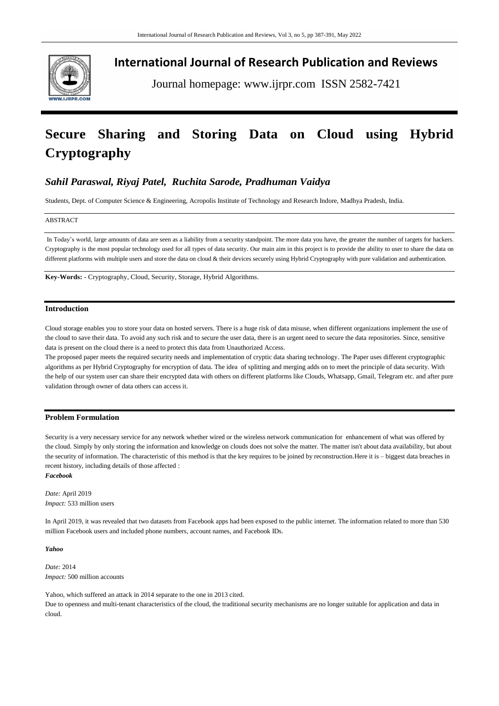

**International Journal of Research Publication and Reviews**

Journal homepage: www.ijrpr.com ISSN 2582-7421

# **Secure Sharing and Storing Data on Cloud using Hybrid Cryptography**

# *Sahil Paraswal, Riyaj Patel, Ruchita Sarode, Pradhuman Vaidya*

Students, Dept. of Computer Science & Engineering, Acropolis Institute of Technology and Research Indore, Madhya Pradesh, India.

#### ABSTRACT

In Today's world, large amounts of data are seen as a liability from a security standpoint. The more data you have, the greater the number of targets for hackers. Cryptography is the most popular technology used for all types of data security. Our main aim in this project is to provide the ability to user to share the data on different platforms with multiple users and store the data on cloud & their devices securely using Hybrid Cryptography with pure validation and authentication.

**Key-Words:** - Cryptography, Cloud, Security, Storage, Hybrid Algorithms.

# **Introduction**

Cloud storage enables you to store your data on hosted servers. There is a huge risk of data misuse, when different organizations implement the use of the cloud to save their data. To avoid any such risk and to secure the user data, there is an urgent need to secure the data repositories. Since, sensitive data is present on the cloud there is a need to protect this data from Unauthorized Access.

The proposed paper meets the required security needs and implementation of cryptic data sharing technology. The Paper uses different cryptographic algorithms as per Hybrid Cryptography for encryption of data. The idea of splitting and merging adds on to meet the principle of data security. With the help of our system user can share their encrypted data with others on different platforms like Clouds, Whatsapp, Gmail, Telegram etc. and after pure validation through owner of data others can access it.

# **Problem Formulation**

Security is a very necessary service for any network whether wired or the wireless network communication for enhancement of what was offered by the cloud. Simply by only storing the information and knowledge on clouds does not solve the matter. The matter isn't about data availability, but about the security of information. The characteristic of this method is that the key requires to be joined by reconstruction.Here it is – biggest data breaches in recent history, including details of those affected :

# *Facebook*

*Date:* April 2019 *Impact:* 533 million users

In April 2019, it was revealed that two datasets from Facebook apps had been exposed to the public internet. The information related to more than 530 million Facebook users and included phone numbers, account names, and Facebook IDs.

#### *Yahoo*

*Date:* 2014 *Impact:* 500 million accounts

Yahoo, which suffered an attack in 2014 separate to the one in 2013 cited. Due to openness and multi-tenant characteristics of the cloud, the traditional security mechanisms are no longer suitable for application and data in cloud.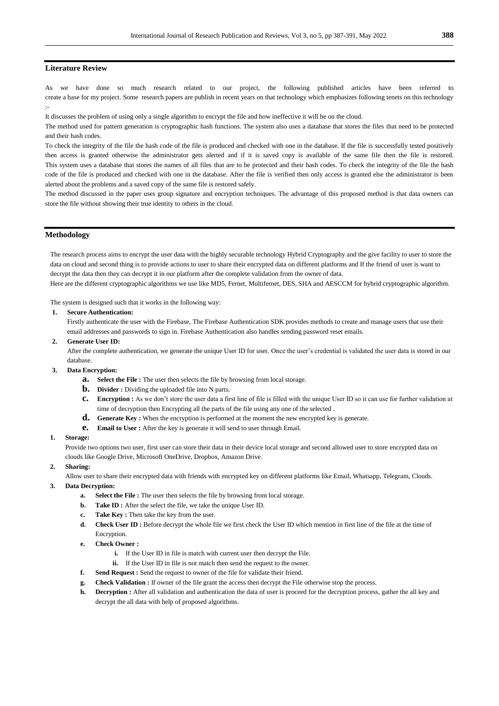# **Literature Review**

As we have done so much research related to our project, the following published articles have been referred to create a base for my project. Some research papers are publish in recent years on that technology which emphasizes following tenets on this technology :-

It discusses the problem of using only a single algorithm to encrypt the file and how ineffective it will be on the cloud.

The method used for pattern generation is cryptographic hash functions. The system also uses a database that stores the files that need to be protected and their hash codes.

To check the integrity of the file the hash code of the file is produced and checked with one in the database. If the file is successfully tested positively then access is granted otherwise the administrator gets alerted and if it is saved copy is available of the same file then the file is restored. This system uses a database that stores the names of all files that are to be protected and their hash codes. To check the integrity of the file the hash code of the file is produced and checked with one in the database. After the file is verified then only access is granted else the administrator is been alerted about the problems and a saved copy of the same file is restored safely.

The method discussed in the paper uses group signature and encryption techniques. The advantage of this proposed method is that data owners can store the file without showing their true identity to others in the cloud.

### **Methodology**

The research process aims to encrypt the user data with the highly securable technology Hybrid Cryptography and the give facility to user to store the data on cloud and second thing is to provide actions to user to share their encrypted data on different platforms and If the friend of user is want to decrypt the data then they can decrypt it in our platform after the complete validation from the owner of data. Here are the different cryptographic algorithms we use like MD5, Fernet, Multifernet, DES, SHA and AESCCM for hybrid cryptographic algorithm.

The system is designed such that it works in the following way:

#### **1. Secure Authentication:**

Firstly authenticate the user with the Firebase, The Firebase Authentication SDK provides methods to create and manage users that use their email addresses and passwords to sign in. Firebase Authentication also handles sending password reset emails.

**2. Generate User ID:**

After the complete authentication, we generate the unique User ID for user. Once the user's credential is validated the user data is stored in our database.

#### **3. Data Encryption:**

- **a. Select the File :** The user then selects the file by browsing from local storage.
- **b.** Divider : Dividing the uploaded file into N parts.
- **c. Encryption :** As we don't store the user data a first line of file is filled with the unique User ID so it can use for further validation at time of decryption then Encrypting all the parts of the file using any one of the selected .
- **d. Generate Key :** When the encryption is performed at the moment the new encrypted key is generate.
- **e. Email to User :** After the key is generate it will send to user through Email.

#### **1. Storage:**

Provide two options two user, first user can store their data in their device local storage and second allowed user to store encrypted data on clouds like Google Drive, Microsoft OneDrive, Dropbox, Amazon Drive.

#### **2. Sharing:**

Allow user to share their encrypted data with friends with encrypted key on different platforms like Email, Whatsapp, Telegram, Clouds.

#### **3. Data Decryption:**

- **a. Select the File :** The user then selects the file by browsing from local storage.
- **b. Take ID**: After the select the file, we take the unique User ID.
- **c. Take Key :** Then take the key from the user.
- **d. Check User ID :** Before decrypt the whole file we first check the User ID which mention in first line of the file at the time of Encryption.
- **e. Check Owner :** 
	- **i.** If the User ID in file is match with current user then decrypt the File.
	- **ii.** If the User ID in file is not match then send the request to the owner.
- **f. Send Request :** Send the request to owner of the file for validate their friend.
- **g. Check Validation :** If owner of the file grant the access then decrypt the File otherwise stop the process.
- **h. Decryption :** After all validation and authentication the data of user is proceed for the decryption process, gather the all key and decrypt the all data with help of proposed algorithms.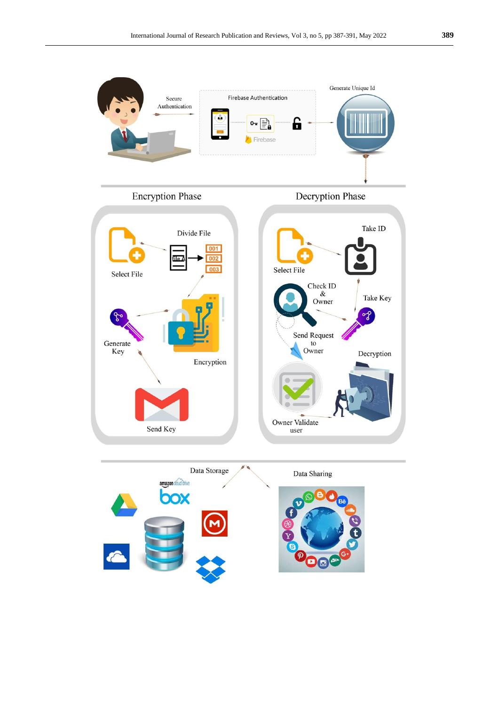

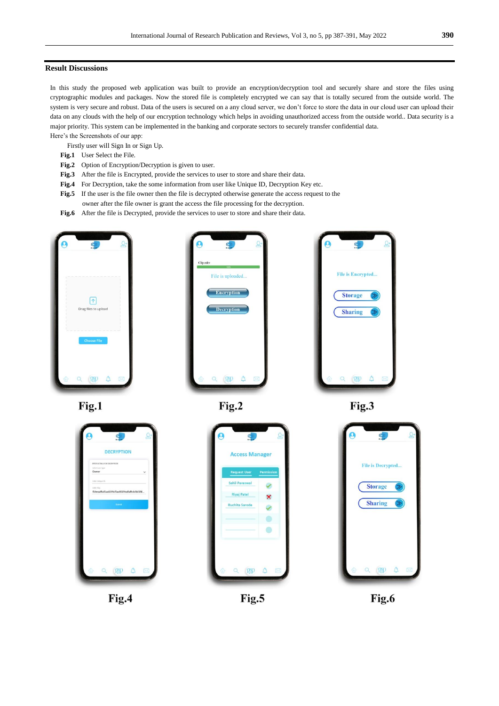## **Result Discussions**

In this study the proposed web application was built to provide an encryption/decryption tool and securely share and store the files using cryptographic modules and packages. Now the stored file is completely encrypted we can say that is totally secured from the outside world. The system is very secure and robust. Data of the users is secured on a any cloud server, we don't force to store the data in our cloud user can upload their data on any clouds with the help of our encryption technology which helps in avoiding unauthorized access from the outside world.. Data security is a major priority. This system can be implemented in the banking and corporate sectors to securely transfer confidential data. Here's the Screenshots of our app:

- Firstly user will Sign In or Sign Up.
- **Fig.1** User Select the File.
- **Fig.2** Option of Encryption/Decryption is given to user.
- **Fig.3** After the file is Encrypted, provide the services to user to store and share their data.
- **Fig.4** For Decryption, take the some information from user like Unique ID, Decryption Key etc.
- **Fig.5** If the user is the file owner then the file is decrypted otherwise generate the access request to the owner after the file owner is grant the access the file processing for the decryption.
- **Fig.6** After the file is Decrypted, provide the services to user to store and share their data.